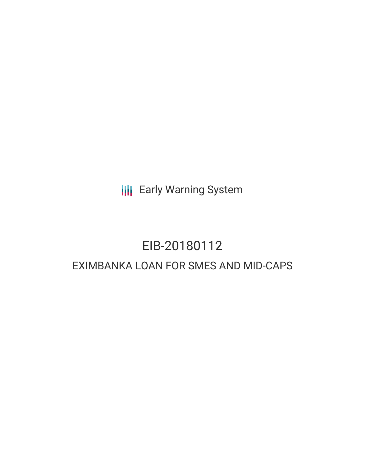**III** Early Warning System

# EIB-20180112 EXIMBANKA LOAN FOR SMES AND MID-CAPS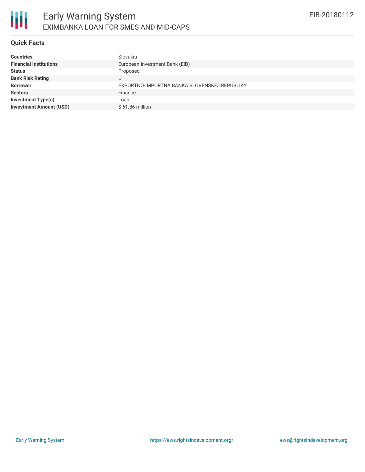

## **Quick Facts**

| <b>Countries</b>               | Slovakia                                     |
|--------------------------------|----------------------------------------------|
| <b>Financial Institutions</b>  | European Investment Bank (EIB)               |
| <b>Status</b>                  | Proposed                                     |
| <b>Bank Risk Rating</b>        | U                                            |
| <b>Borrower</b>                | EXPORTNO-IMPORTNA BANKA SLOVENSKEJ REPUBLIKY |
| <b>Sectors</b>                 | Finance                                      |
| <b>Investment Type(s)</b>      | Loan                                         |
| <b>Investment Amount (USD)</b> | $$61.86$ million                             |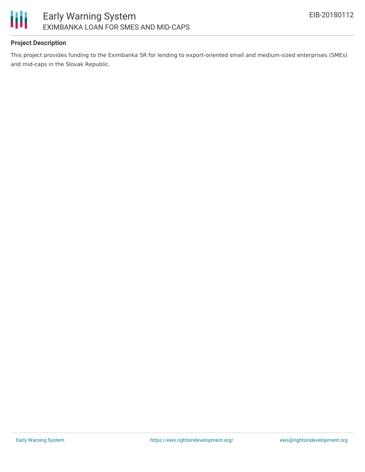

# **Project Description**

This project provides funding to the Eximbanka SR for lending to export-oriented small and medium-sized enterprises (SMEs) and mid-caps in the Slovak Republic.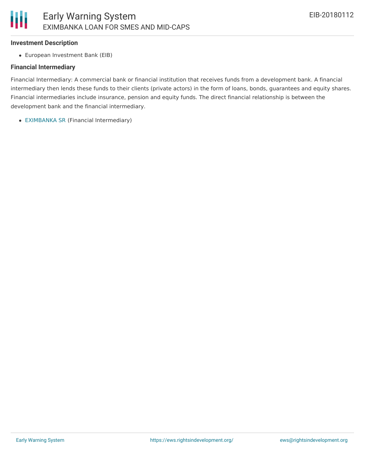#### **Investment Description**

European Investment Bank (EIB)

### **Financial Intermediary**

Financial Intermediary: A commercial bank or financial institution that receives funds from a development bank. A financial intermediary then lends these funds to their clients (private actors) in the form of loans, bonds, guarantees and equity shares. Financial intermediaries include insurance, pension and equity funds. The direct financial relationship is between the development bank and the financial intermediary.

[EXIMBANKA](file:///actor/831/) SR (Financial Intermediary)